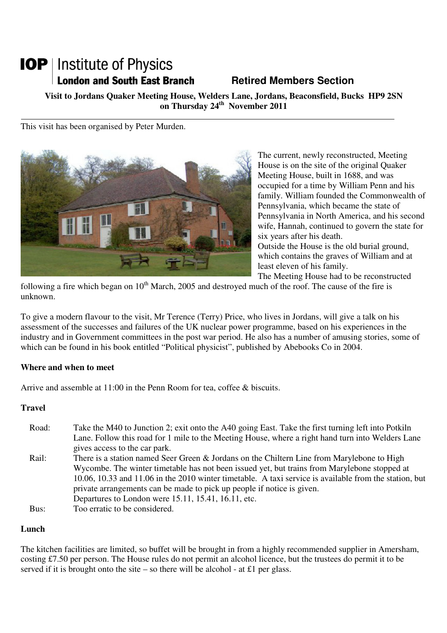# **IOP** | Institute of Physics **London and South East Branch Fig. 2.1 Retired Members Section**

**Visit to Jordans Quaker Meeting House, Welders Lane, Jordans, Beaconsfield, Bucks HP9 2SN on Thursday 24th November 2011** 

This visit has been organised by Peter Murden.



The current, newly reconstructed, Meeting House is on the site of the original Quaker Meeting House, built in 1688, and was occupied for a time by William Penn and his family. William founded the Commonwealth of Pennsylvania, which became the state of Pennsylvania in North America, and his second wife, Hannah, continued to govern the state for six years after his death. Outside the House is the old burial ground, which contains the graves of William and at least eleven of his family.

The Meeting House had to be reconstructed

following a fire which began on  $10<sup>th</sup>$  March, 2005 and destroyed much of the roof. The cause of the fire is unknown.

To give a modern flavour to the visit, Mr Terence (Terry) Price, who lives in Jordans, will give a talk on his assessment of the successes and failures of the UK nuclear power programme, based on his experiences in the industry and in Government committees in the post war period. He also has a number of amusing stories, some of which can be found in his book entitled "Political physicist", published by Abebooks Co in 2004.

#### **Where and when to meet**

Arrive and assemble at 11:00 in the Penn Room for tea, coffee & biscuits.

### **Travel**

- Road: Take the M40 to Junction 2; exit onto the A40 going East. Take the first turning left into Potkiln Lane. Follow this road for 1 mile to the Meeting House, where a right hand turn into Welders Lane gives access to the car park. Rail: There is a station named Seer Green & Jordans on the Chiltern Line from Marylebone to High Wycombe. The winter timetable has not been issued yet, but trains from Marylebone stopped at 10.06, 10.33 and 11.06 in the 2010 winter timetable. A taxi service is available from the station, but private arrangements can be made to pick up people if notice is given. Departures to London were 15.11, 15.41, 16.11, etc.
- Bus: Too erratic to be considered.

### **Lunch**

The kitchen facilities are limited, so buffet will be brought in from a highly recommended supplier in Amersham, costing £7.50 per person. The House rules do not permit an alcohol licence, but the trustees do permit it to be served if it is brought onto the site – so there will be alcohol - at £1 per glass.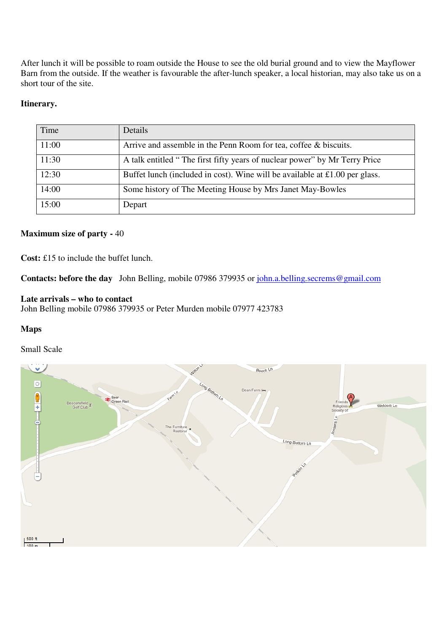After lunch it will be possible to roam outside the House to see the old burial ground and to view the Mayflower Barn from the outside. If the weather is favourable the after-lunch speaker, a local historian, may also take us on a short tour of the site.

#### **Itinerary.**

| Time  | Details                                                                     |
|-------|-----------------------------------------------------------------------------|
| 11:00 | Arrive and assemble in the Penn Room for tea, coffee & biscuits.            |
| 11:30 | A talk entitled "The first fifty years of nuclear power" by Mr Terry Price  |
| 12:30 | Buffet lunch (included in cost). Wine will be available at £1.00 per glass. |
| 14:00 | Some history of The Meeting House by Mrs Janet May-Bowles                   |
| 15:00 | Depart                                                                      |

#### **Maximum size of party -** 40

**Cost:** £15 to include the buffet lunch.

Contacts: before the day John Belling, mobile 07986 379935 or john.a.belling.secrems@gmail.com

#### **Late arrivals – who to contact**

John Belling mobile 07986 379935 or Peter Murden mobile 07977 423783

#### **Maps**

#### Small Scale